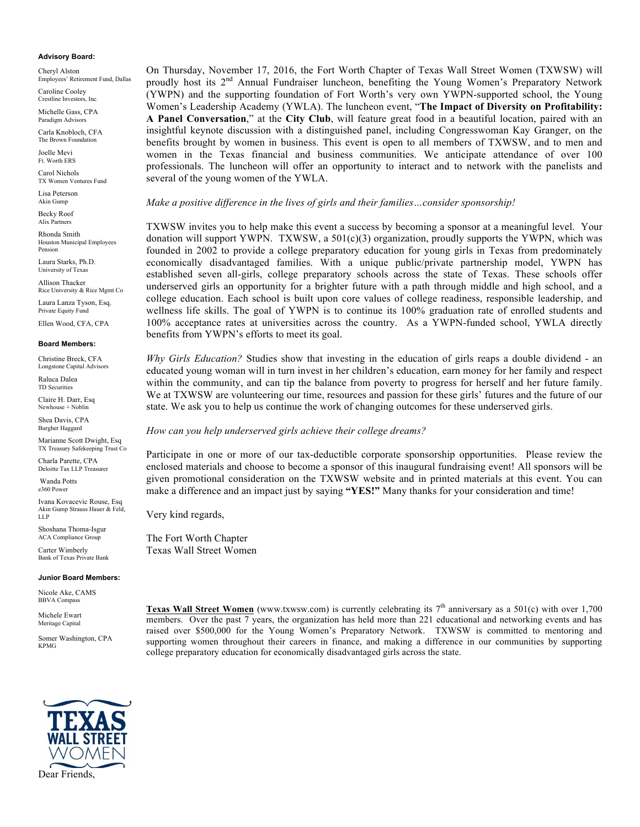#### **Advisory Board:**

Cheryl Alston Employees' Retirement Fund, Dallas

Caroline Cooley Crestline Investors, Inc.

Michelle Gass, CPA Paradigm Advisors

Carla Knobloch, CFA The Brown Foundation

Joelle Mevi Ft. Worth ERS

Carol Nichols TX Women Ventures Fund

Lisa Peterson Akin Gump

Becky Roof Alix Partners

Rhonda Smith Houston Municipal Employees Pension

Laura Starks, Ph.D. University of Texas

Allison Thacker Rice University & Rice Mgmt Co

Laura Lanza Tyson, Esq. Private Equity Fund

Ellen Wood, CFA, CPA

#### **Board Members:**

Christine Breck, CFA Longstone Capital Advisors Raluca Dalea TD Securities

Claire H. Darr, Esq Newhouse + Noblin

Shea Davis, CPA Burgher Haggard

Marianne Scott Dwight, Esq TX Treasury Safekeeping Trust Co

Charla Parette, CPA Deloitte Tax LLP Treasurer

Wanda Potts e360 Power

Ivana Kovacevic Rouse, Esq Akin Gump Strauss Hauer & Feld, LLP

Shoshana Thoma-Isgur ACA Compliance Group

Carter Wimberly Bank of Texas Private Bank

#### **Junior Board Members:**

Nicole Ake, CAMS BBVA Compass

Michele Ewart Meritage Capital

Somer Washington, CPA KPMG



On Thursday, November 17, 2016, the Fort Worth Chapter of Texas Wall Street Women (TXWSW) will proudly host its 2<sup>nd</sup> Annual Fundraiser luncheon, benefiting the Young Women's Preparatory Network (YWPN) and the supporting foundation of Fort Worth's very own YWPN-supported school, the Young Women's Leadership Academy (YWLA). The luncheon event, "**The Impact of Diversity on Profitability: A Panel Conversation**," at the **City Club**, will feature great food in a beautiful location, paired with an insightful keynote discussion with a distinguished panel, including Congresswoman Kay Granger, on the benefits brought by women in business. This event is open to all members of TXWSW, and to men and women in the Texas financial and business communities. We anticipate attendance of over 100 professionals. The luncheon will offer an opportunity to interact and to network with the panelists and several of the young women of the YWLA.

#### *Make a positive difference in the lives of girls and their families…consider sponsorship!*

TXWSW invites you to help make this event a success by becoming a sponsor at a meaningful level. Your donation will support YWPN. TXWSW, a 501(c)(3) organization, proudly supports the YWPN, which was founded in 2002 to provide a college preparatory education for young girls in Texas from predominately economically disadvantaged families. With a unique public/private partnership model, YWPN has established seven all-girls, college preparatory schools across the state of Texas. These schools offer underserved girls an opportunity for a brighter future with a path through middle and high school, and a college education. Each school is built upon core values of college readiness, responsible leadership, and wellness life skills. The goal of YWPN is to continue its 100% graduation rate of enrolled students and 100% acceptance rates at universities across the country. As a YWPN-funded school, YWLA directly benefits from YWPN's efforts to meet its goal.

*Why Girls Education?* Studies show that investing in the education of girls reaps a double dividend - an educated young woman will in turn invest in her children's education, earn money for her family and respect within the community, and can tip the balance from poverty to progress for herself and her future family. We at TXWSW are volunteering our time, resources and passion for these girls' futures and the future of our state. We ask you to help us continue the work of changing outcomes for these underserved girls.

#### *How can you help underserved girls achieve their college dreams?*

Participate in one or more of our tax-deductible corporate sponsorship opportunities. Please review the enclosed materials and choose to become a sponsor of this inaugural fundraising event! All sponsors will be given promotional consideration on the TXWSW website and in printed materials at this event. You can make a difference and an impact just by saying **"YES!"** Many thanks for your consideration and time!

Very kind regards,

The Fort Worth Chapter Texas Wall Street Women

Texas Wall Street Women (www.txwsw.com) is currently celebrating its 7<sup>th</sup> anniversary as a 501(c) with over 1,700 members. Over the past 7 years, the organization has held more than 221 educational and networking events and has raised over \$500,000 for the Young Women's Preparatory Network. TXWSW is committed to mentoring and supporting women throughout their careers in finance, and making a difference in our communities by supporting college preparatory education for economically disadvantaged girls across the state.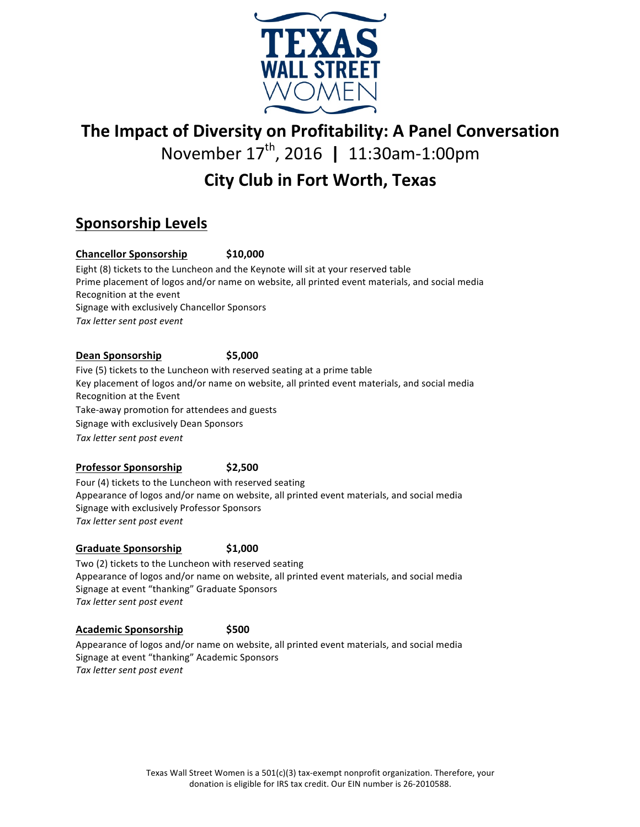

# **The Impact of Diversity on Profitability: A Panel Conversation**

November 17<sup>th</sup>, 2016 | 11:30am-1:00pm

# **City Club in Fort Worth, Texas**

## **Sponsorship Levels**

## **Chancellor Sponsorship \$10,000**

Eight (8) tickets to the Luncheon and the Keynote will sit at your reserved table Prime placement of logos and/or name on website, all printed event materials, and social media Recognition at the event Signage with exclusively Chancellor Sponsors *Tax letter sent post event*

## **Dean Sponsorship \$5,000**

Five (5) tickets to the Luncheon with reserved seating at a prime table Key placement of logos and/or name on website, all printed event materials, and social media Recognition at the Event Take-away promotion for attendees and guests Signage with exclusively Dean Sponsors *Tax letter sent post event*

## **Professor Sponsorship \$2,500**

Four (4) tickets to the Luncheon with reserved seating Appearance of logos and/or name on website, all printed event materials, and social media Signage with exclusively Professor Sponsors *Tax letter sent post event*

## **Graduate Sponsorship \$1,000**

Two (2) tickets to the Luncheon with reserved seating Appearance of logos and/or name on website, all printed event materials, and social media Signage at event "thanking" Graduate Sponsors *Tax letter sent post event*

## **Academic Sponsorship \$500**

Appearance of logos and/or name on website, all printed event materials, and social media Signage at event "thanking" Academic Sponsors Tax letter sent post event